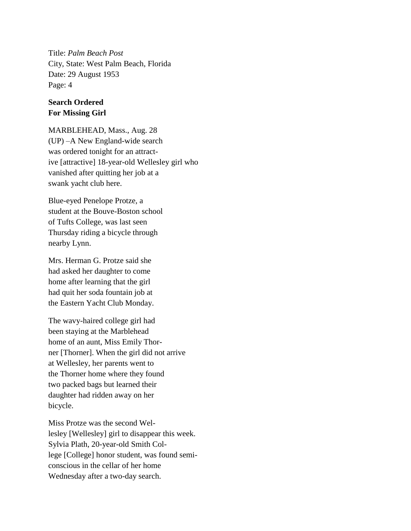Title: *Palm Beach Post* City, State: West Palm Beach, Florida Date: 29 August 1953 Page: 4

## **Search Ordered For Missing Girl**

MARBLEHEAD, Mass., Aug. 28 (UP) –A New England-wide search was ordered tonight for an attractive [attractive] 18-year-old Wellesley girl who vanished after quitting her job at a swank yacht club here.

Blue-eyed Penelope Protze, a student at the Bouve-Boston school of Tufts College, was last seen Thursday riding a bicycle through nearby Lynn.

Mrs. Herman G. Protze said she had asked her daughter to come home after learning that the girl had quit her soda fountain job at the Eastern Yacht Club Monday.

The wavy-haired college girl had been staying at the Marblehead home of an aunt, Miss Emily Thorner [Thorner]. When the girl did not arrive at Wellesley, her parents went to the Thorner home where they found two packed bags but learned their daughter had ridden away on her bicycle.

Miss Protze was the second Wellesley [Wellesley] girl to disappear this week. Sylvia Plath, 20-year-old Smith College [College] honor student, was found semiconscious in the cellar of her home Wednesday after a two-day search.